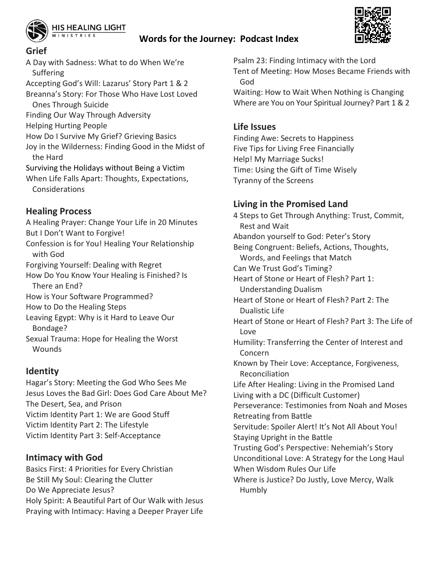

### **Words for the Journey: Podcast Index**



#### **Grief**

A Day with Sadness: What to do When We're Suffering Accepting God's Will: Lazarus' Story Part 1 & 2 Breanna's Story: For Those Who Have Lost Loved Ones Through Suicide Finding Our Way Through Adversity Helping Hurting People How Do I Survive My Grief? Grieving Basics

Joy in the Wilderness: Finding Good in the Midst of the Hard

Surviving the Holidays without Being a Victim When Life Falls Apart: Thoughts, Expectations, Considerations

## **Healing Process**

A Healing Prayer: Change Your Life in 20 Minutes But I Don't Want to Forgive! Confession is for You! Healing Your Relationship with God Forgiving Yourself: Dealing with Regret How Do You Know Your Healing is Finished? Is There an End? How is Your Software Programmed? How to Do the Healing Steps Leaving Egypt: Why is it Hard to Leave Our Bondage? Sexual Trauma: Hope for Healing the Worst

**Wounds** 

## **Identity**

Hagar's Story: Meeting the God Who Sees Me Jesus Loves the Bad Girl: Does God Care About Me? The Desert, Sea, and Prison Victim Identity Part 1: We are Good Stuff Victim Identity Part 2: The Lifestyle Victim Identity Part 3: Self-Acceptance

## **Intimacy with God**

Basics First: 4 Priorities for Every Christian Be Still My Soul: Clearing the Clutter Do We Appreciate Jesus? Holy Spirit: A Beautiful Part of Our Walk with Jesus Praying with Intimacy: Having a Deeper Prayer Life

Psalm 23: Finding Intimacy with the Lord Tent of Meeting: How Moses Became Friends with God

Waiting: How to Wait When Nothing is Changing Where are You on Your Spiritual Journey? Part 1 & 2

## **Life Issues**

Finding Awe: Secrets to Happiness Five Tips for Living Free Financially Help! My Marriage Sucks! Time: Using the Gift of Time Wisely Tyranny of the Screens

## **Living in the Promised Land**

4 Steps to Get Through Anything: Trust, Commit, Rest and Wait Abandon yourself to God: Peter's Story Being Congruent: Beliefs, Actions, Thoughts, Words, and Feelings that Match Can We Trust God's Timing? Heart of Stone or Heart of Flesh? Part 1: Understanding Dualism Heart of Stone or Heart of Flesh? Part 2: The Dualistic Life Heart of Stone or Heart of Flesh? Part 3: The Life of Love Humility: Transferring the Center of Interest and Concern Known by Their Love: Acceptance, Forgiveness, Reconciliation Life After Healing: Living in the Promised Land Living with a DC (Difficult Customer) Perseverance: Testimonies from Noah and Moses Retreating from Battle Servitude: Spoiler Alert! It's Not All About You! Staying Upright in the Battle Trusting God's Perspective: Nehemiah's Story Unconditional Love: A Strategy for the Long Haul When Wisdom Rules Our Life Where is Justice? Do Justly, Love Mercy, Walk Humbly